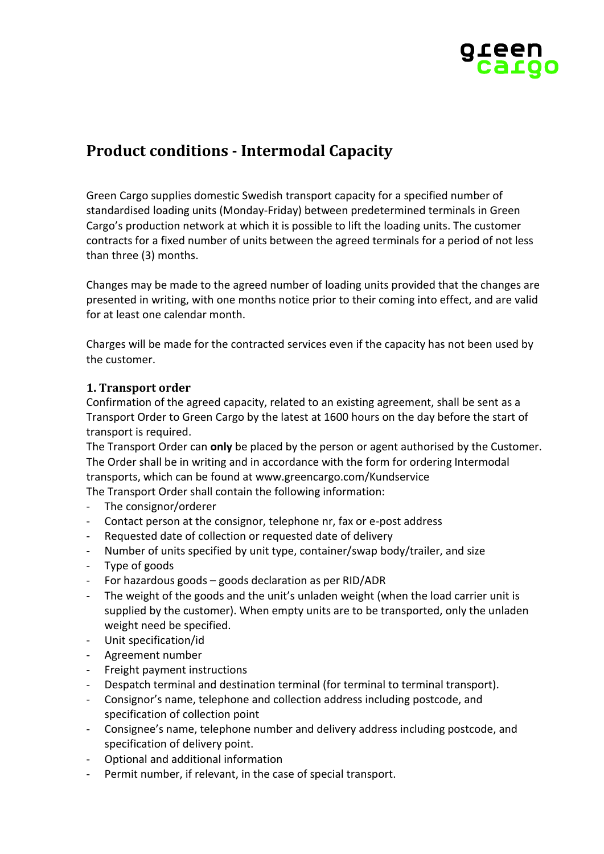

# **Product conditions - Intermodal Capacity**

Green Cargo supplies domestic Swedish transport capacity for a specified number of standardised loading units (Monday-Friday) between predetermined terminals in Green Cargo's production network at which it is possible to lift the loading units. The customer contracts for a fixed number of units between the agreed terminals for a period of not less than three (3) months.

Changes may be made to the agreed number of loading units provided that the changes are presented in writing, with one months notice prior to their coming into effect, and are valid for at least one calendar month.

Charges will be made for the contracted services even if the capacity has not been used by the customer.

### **1. Transport order**

Confirmation of the agreed capacity, related to an existing agreement, shall be sent as a Transport Order to Green Cargo by the latest at 1600 hours on the day before the start of transport is required.

The Transport Order can **only** be placed by the person or agent authorised by the Customer. The Order shall be in writing and in accordance with the form for ordering Intermodal transports, which can be found at www.greencargo.com/Kundservice The Transport Order shall contain the following information:

- The consignor/orderer
- Contact person at the consignor, telephone nr, fax or e-post address
- Requested date of collection or requested date of delivery
- Number of units specified by unit type, container/swap body/trailer, and size
- Type of goods
- For hazardous goods goods declaration as per RID/ADR
- The weight of the goods and the unit's unladen weight (when the load carrier unit is supplied by the customer). When empty units are to be transported, only the unladen weight need be specified.
- Unit specification/id
- Agreement number
- Freight payment instructions
- Despatch terminal and destination terminal (for terminal to terminal transport).
- Consignor's name, telephone and collection address including postcode, and specification of collection point
- Consignee's name, telephone number and delivery address including postcode, and specification of delivery point.
- Optional and additional information
- Permit number, if relevant, in the case of special transport.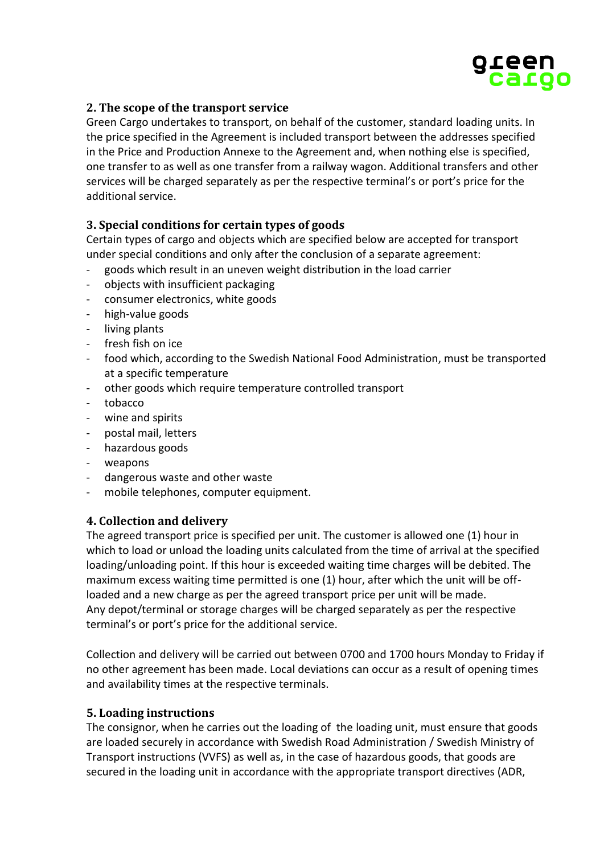

# **2. The scope of the transport service**

Green Cargo undertakes to transport, on behalf of the customer, standard loading units. In the price specified in the Agreement is included transport between the addresses specified in the Price and Production Annexe to the Agreement and, when nothing else is specified, one transfer to as well as one transfer from a railway wagon. Additional transfers and other services will be charged separately as per the respective terminal's or port's price for the additional service.

# **3. Special conditions for certain types of goods**

Certain types of cargo and objects which are specified below are accepted for transport under special conditions and only after the conclusion of a separate agreement:

- goods which result in an uneven weight distribution in the load carrier
- objects with insufficient packaging
- consumer electronics, white goods
- high-value goods
- living plants
- fresh fish on ice
- food which, according to the Swedish National Food Administration, must be transported at a specific temperature
- other goods which require temperature controlled transport
- tobacco
- wine and spirits
- postal mail, letters
- hazardous goods
- weapons
- dangerous waste and other waste
- mobile telephones, computer equipment.

### **4. Collection and delivery**

The agreed transport price is specified per unit. The customer is allowed one (1) hour in which to load or unload the loading units calculated from the time of arrival at the specified loading/unloading point. If this hour is exceeded waiting time charges will be debited. The maximum excess waiting time permitted is one (1) hour, after which the unit will be offloaded and a new charge as per the agreed transport price per unit will be made. Any depot/terminal or storage charges will be charged separately as per the respective terminal's or port's price for the additional service.

Collection and delivery will be carried out between 0700 and 1700 hours Monday to Friday if no other agreement has been made. Local deviations can occur as a result of opening times and availability times at the respective terminals.

#### **5. Loading instructions**

The consignor, when he carries out the loading of the loading unit, must ensure that goods are loaded securely in accordance with Swedish Road Administration / Swedish Ministry of Transport instructions (VVFS) as well as, in the case of hazardous goods, that goods are secured in the loading unit in accordance with the appropriate transport directives (ADR,